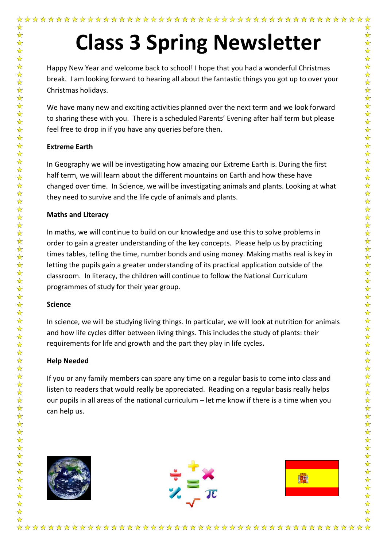Happy New Year and welcome back to school! I hope that you had a wonderful Christmas break. I am looking forward to hearing all about the fantastic things you got up to over your Christmas holidays.

We have many new and exciting activities planned over the next term and we look forward to sharing these with you. There is a scheduled Parents' Evening after half term but please feel free to drop in if you have any queries before then.

## **Extreme Earth**

☆

 $\frac{1}{\sqrt{2}}$  $\frac{1}{\mathbf{k}}$ 

5个好

In Geography we will be investigating how amazing our Extreme Earth is. During the first half term, we will learn about the different mountains on Earth and how these have changed over time. In Science, we will be investigating animals and plants. Looking at what they need to survive and the life cycle of animals and plants.

## **Maths and Literacy**

In maths, we will continue to build on our knowledge and use this to solve problems in order to gain a greater understanding of the key concepts. Please help us by practicing times tables, telling the time, number bonds and using money. Making maths real is key in letting the pupils gain a greater understanding of its practical application outside of the classroom. In literacy, the children will continue to follow the National Curriculum programmes of study for their year group.

## **Science**

 $\frac{1}{\sqrt{2}}$ 

In science, we will be studying living things. In particular, we will look at nutrition for animals and how life cycles differ between living things. This includes the study of plants: their requirements for life and growth and the part they play in life cycles**.**

## **Help Needed**

If you or any family members can spare any time on a regular basis to come into class and listen to readers that would really be appreciated. Reading on a regular basis really helps our pupils in all areas of the national curriculum – let me know if there is a time when you can help us.